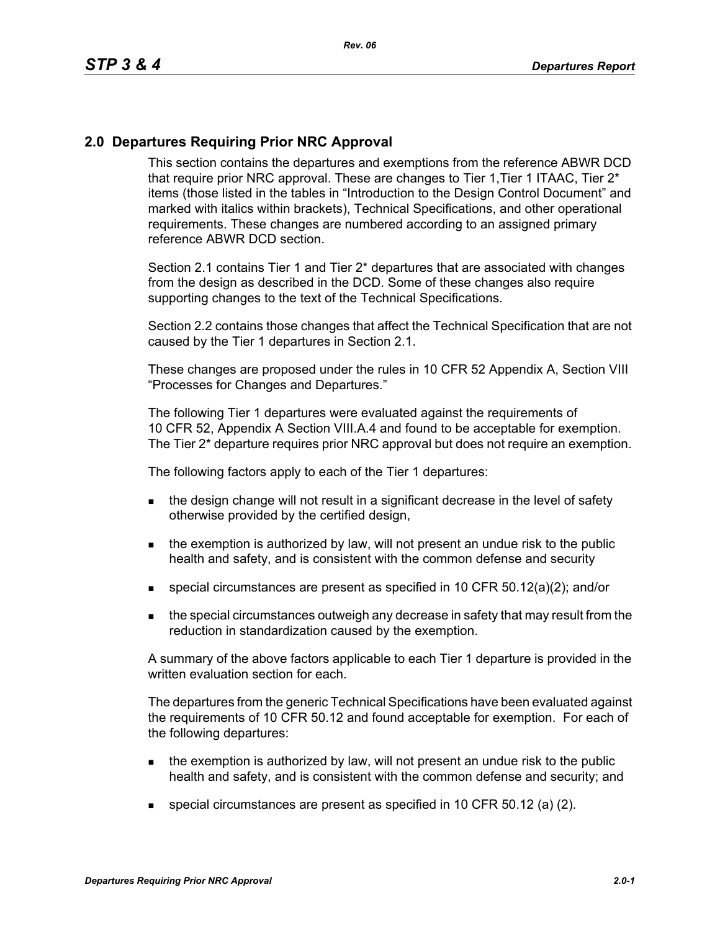## **2.0 Departures Requiring Prior NRC Approval**

This section contains the departures and exemptions from the reference ABWR DCD that require prior NRC approval. These are changes to Tier 1, Tier 1 ITAAC, Tier 2<sup>\*</sup> items (those listed in the tables in "Introduction to the Design Control Document" and marked with italics within brackets), Technical Specifications, and other operational requirements. These changes are numbered according to an assigned primary reference ABWR DCD section.

Section 2.1 contains Tier 1 and Tier 2\* departures that are associated with changes from the design as described in the DCD. Some of these changes also require supporting changes to the text of the Technical Specifications.

Section 2.2 contains those changes that affect the Technical Specification that are not caused by the Tier 1 departures in Section 2.1.

These changes are proposed under the rules in 10 CFR 52 Appendix A, Section VIII "Processes for Changes and Departures."

The following Tier 1 departures were evaluated against the requirements of 10 CFR 52, Appendix A Section VIII.A.4 and found to be acceptable for exemption. The Tier 2\* departure requires prior NRC approval but does not require an exemption.

The following factors apply to each of the Tier 1 departures:

- the design change will not result in a significant decrease in the level of safety otherwise provided by the certified design,
- $\blacksquare$  the exemption is authorized by law, will not present an undue risk to the public health and safety, and is consistent with the common defense and security
- special circumstances are present as specified in 10 CFR 50.12(a)(2); and/or
- **the special circumstances outweigh any decrease in safety that may result from the** reduction in standardization caused by the exemption.

A summary of the above factors applicable to each Tier 1 departure is provided in the written evaluation section for each.

The departures from the generic Technical Specifications have been evaluated against the requirements of 10 CFR 50.12 and found acceptable for exemption. For each of the following departures:

- $\blacksquare$  the exemption is authorized by law, will not present an undue risk to the public health and safety, and is consistent with the common defense and security; and
- special circumstances are present as specified in 10 CFR 50.12 (a) (2).